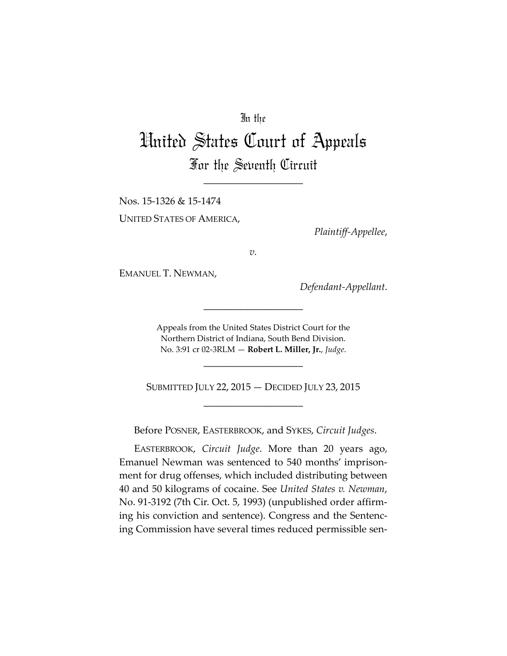## In the

## United States Court of Appeals For the Seventh Circuit

\_\_\_\_\_\_\_\_\_\_\_\_\_\_\_\_\_\_\_\_

Nos. 15-1326 & 15-1474 UNITED STATES OF AMERICA,

*Plaintiff-Appellee*,

*v.*

EMANUEL T. NEWMAN,

*Defendant-Appellant*.

Appeals from the United States District Court for the Northern District of Indiana, South Bend Division. No. 3:91 cr 02-3RLM — **Robert L. Miller, Jr.**, *Judge*.

\_\_\_\_\_\_\_\_\_\_\_\_\_\_\_\_\_\_\_\_

SUBMITTED JULY 22, 2015 — DECIDED JULY 23, 2015 \_\_\_\_\_\_\_\_\_\_\_\_\_\_\_\_\_\_\_\_

\_\_\_\_\_\_\_\_\_\_\_\_\_\_\_\_\_\_\_\_

Before POSNER, EASTERBROOK, and SYKES, *Circuit Judges*.

EASTERBROOK, *Circuit Judge*. More than 20 years ago, Emanuel Newman was sentenced to 540 months' imprisonment for drug offenses, which included distributing between 40 and 50 kilograms of cocaine. See *United States v. Newman*, No. 91-3192 (7th Cir. Oct. 5, 1993) (unpublished order affirming his conviction and sentence). Congress and the Sentencing Commission have several times reduced permissible sen-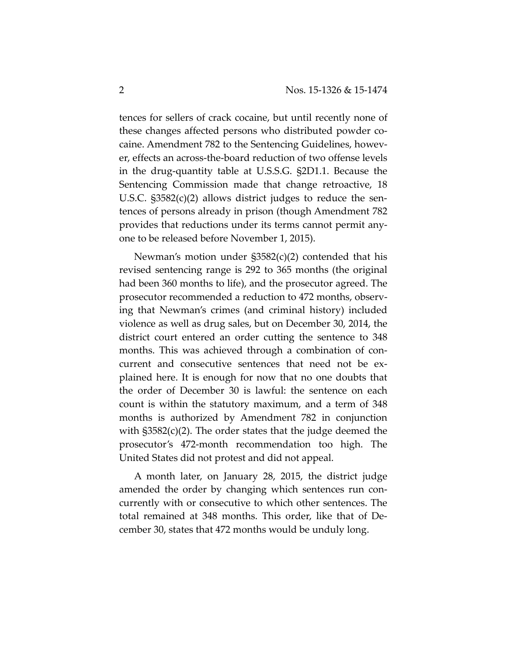tences for sellers of crack cocaine, but until recently none of these changes affected persons who distributed powder cocaine. Amendment 782 to the Sentencing Guidelines, however, effects an across-the-board reduction of two offense levels in the drug-quantity table at U.S.S.G. §2D1.1. Because the Sentencing Commission made that change retroactive, 18 U.S.C. §3582(c)(2) allows district judges to reduce the sentences of persons already in prison (though Amendment 782 provides that reductions under its terms cannot permit anyone to be released before November 1, 2015).

Newman's motion under §3582(c)(2) contended that his revised sentencing range is 292 to 365 months (the original had been 360 months to life), and the prosecutor agreed. The prosecutor recommended a reduction to 472 months, observing that Newman's crimes (and criminal history) included violence as well as drug sales, but on December 30, 2014, the district court entered an order cutting the sentence to 348 months. This was achieved through a combination of concurrent and consecutive sentences that need not be explained here. It is enough for now that no one doubts that the order of December 30 is lawful: the sentence on each count is within the statutory maximum, and a term of 348 months is authorized by Amendment 782 in conjunction with §3582(c)(2). The order states that the judge deemed the prosecutor's 472-month recommendation too high. The United States did not protest and did not appeal.

A month later, on January 28, 2015, the district judge amended the order by changing which sentences run concurrently with or consecutive to which other sentences. The total remained at 348 months. This order, like that of December 30, states that 472 months would be unduly long.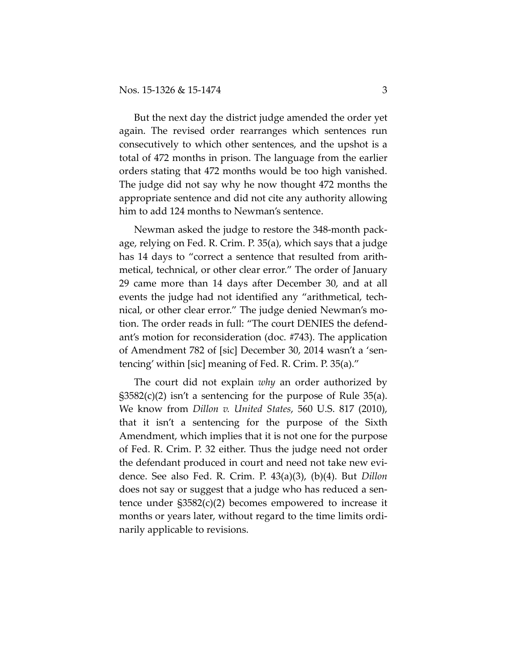But the next day the district judge amended the order yet again. The revised order rearranges which sentences run consecutively to which other sentences, and the upshot is a total of 472 months in prison. The language from the earlier orders stating that 472 months would be too high vanished. The judge did not say why he now thought 472 months the appropriate sentence and did not cite any authority allowing him to add 124 months to Newman's sentence.

Newman asked the judge to restore the 348-month package, relying on Fed. R. Crim. P. 35(a), which says that a judge has 14 days to "correct a sentence that resulted from arithmetical, technical, or other clear error." The order of January 29 came more than 14 days after December 30, and at all events the judge had not identified any "arithmetical, technical, or other clear error." The judge denied Newman's motion. The order reads in full: "The court DENIES the defendant's motion for reconsideration (doc. #743). The application of Amendment 782 of [sic] December 30, 2014 wasn't a 'sentencing' within [sic] meaning of Fed. R. Crim. P. 35(a)."

The court did not explain *why* an order authorized by  $\S 3582(c)(2)$  isn't a sentencing for the purpose of Rule 35(a). We know from *Dillon v. United States*, 560 U.S. 817 (2010), that it isn't a sentencing for the purpose of the Sixth Amendment, which implies that it is not one for the purpose of Fed. R. Crim. P. 32 either. Thus the judge need not order the defendant produced in court and need not take new evidence. See also Fed. R. Crim. P. 43(a)(3), (b)(4). But *Dillon* does not say or suggest that a judge who has reduced a sentence under §3582(c)(2) becomes empowered to increase it months or years later, without regard to the time limits ordinarily applicable to revisions.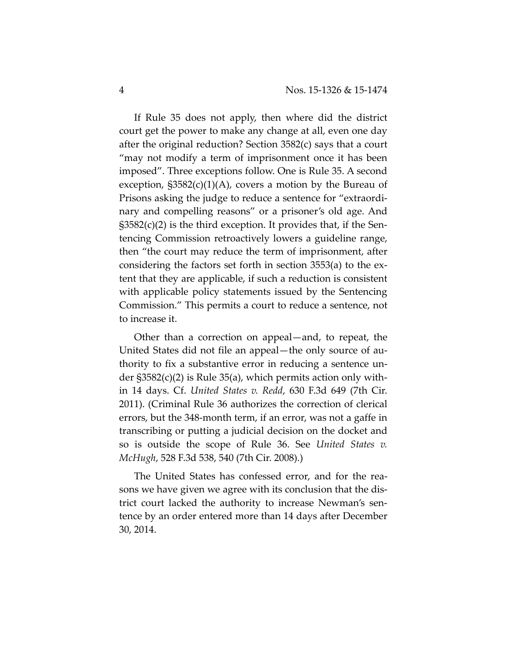If Rule 35 does not apply, then where did the district court get the power to make any change at all, even one day after the original reduction? Section 3582(c) says that a court "may not modify a term of imprisonment once it has been imposed". Three exceptions follow. One is Rule 35. A second exception,  $\S 3582(c)(1)(A)$ , covers a motion by the Bureau of Prisons asking the judge to reduce a sentence for "extraordinary and compelling reasons" or a prisoner's old age. And  $\S 3582(c)(2)$  is the third exception. It provides that, if the Sentencing Commission retroactively lowers a guideline range, then "the court may reduce the term of imprisonment, after considering the factors set forth in section 3553(a) to the extent that they are applicable, if such a reduction is consistent with applicable policy statements issued by the Sentencing Commission." This permits a court to reduce a sentence, not to increase it.

Other than a correction on appeal—and, to repeat, the United States did not file an appeal—the only source of authority to fix a substantive error in reducing a sentence under §3582(c)(2) is Rule 35(a), which permits action only within 14 days. Cf. *United States v. Redd*, 630 F.3d 649 (7th Cir. 2011). (Criminal Rule 36 authorizes the correction of clerical errors, but the 348-month term, if an error, was not a gaffe in transcribing or putting a judicial decision on the docket and so is outside the scope of Rule 36. See *United States v. McHugh*, 528 F.3d 538, 540 (7th Cir. 2008).)

The United States has confessed error, and for the reasons we have given we agree with its conclusion that the district court lacked the authority to increase Newman's sentence by an order entered more than 14 days after December 30, 2014.